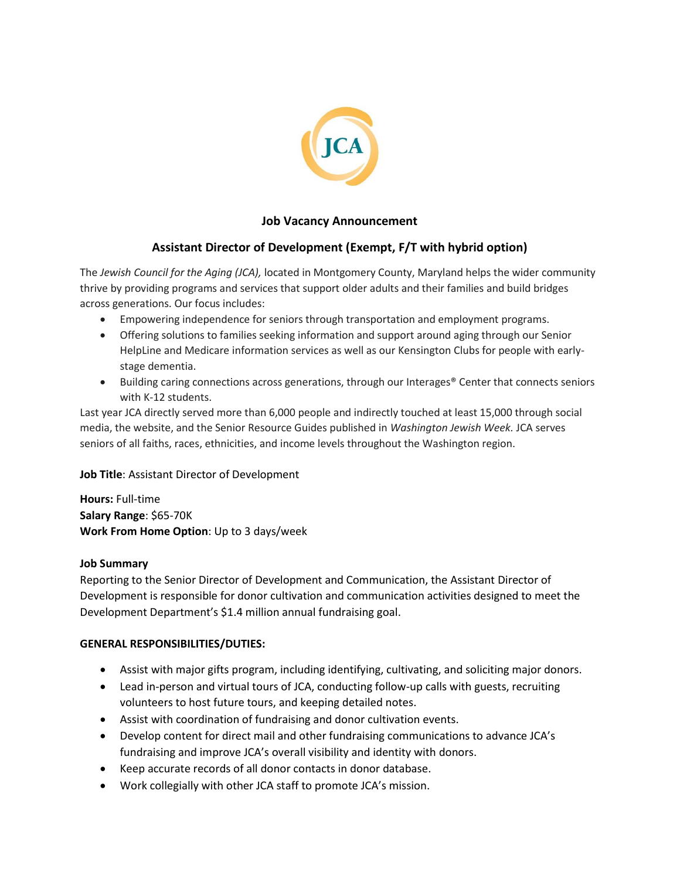

# **Job Vacancy Announcement**

# **Assistant Director of Development (Exempt, F/T with hybrid option)**

The *Jewish Council for the Aging (JCA),* located in Montgomery County, Maryland helps the wider community thrive by providing programs and services that support older adults and their families and build bridges across generations. Our focus includes:

- Empowering independence for seniors through transportation and employment programs.
- Offering solutions to families seeking information and support around aging through our Senior HelpLine and Medicare information services as well as our Kensington Clubs for people with earlystage dementia.
- Building caring connections across generations, through our Interages® Center that connects seniors with K-12 students.

Last year JCA directly served more than 6,000 people and indirectly touched at least 15,000 through social media, the website, and the Senior Resource Guides published in *Washington Jewish Week.* JCA serves seniors of all faiths, races, ethnicities, and income levels throughout the Washington region.

### **Job Title**: Assistant Director of Development

**Hours:** Full-time **Salary Range**: \$65-70K **Work From Home Option**: Up to 3 days/week

### **Job Summary**

Reporting to the Senior Director of Development and Communication, the Assistant Director of Development is responsible for donor cultivation and communication activities designed to meet the Development Department's \$1.4 million annual fundraising goal.

### **GENERAL RESPONSIBILITIES/DUTIES:**

- Assist with major gifts program, including identifying, cultivating, and soliciting major donors.
- Lead in-person and virtual tours of JCA, conducting follow-up calls with guests, recruiting volunteers to host future tours, and keeping detailed notes.
- Assist with coordination of fundraising and donor cultivation events.
- Develop content for direct mail and other fundraising communications to advance JCA's fundraising and improve JCA's overall visibility and identity with donors.
- Keep accurate records of all donor contacts in donor database.
- Work collegially with other JCA staff to promote JCA's mission.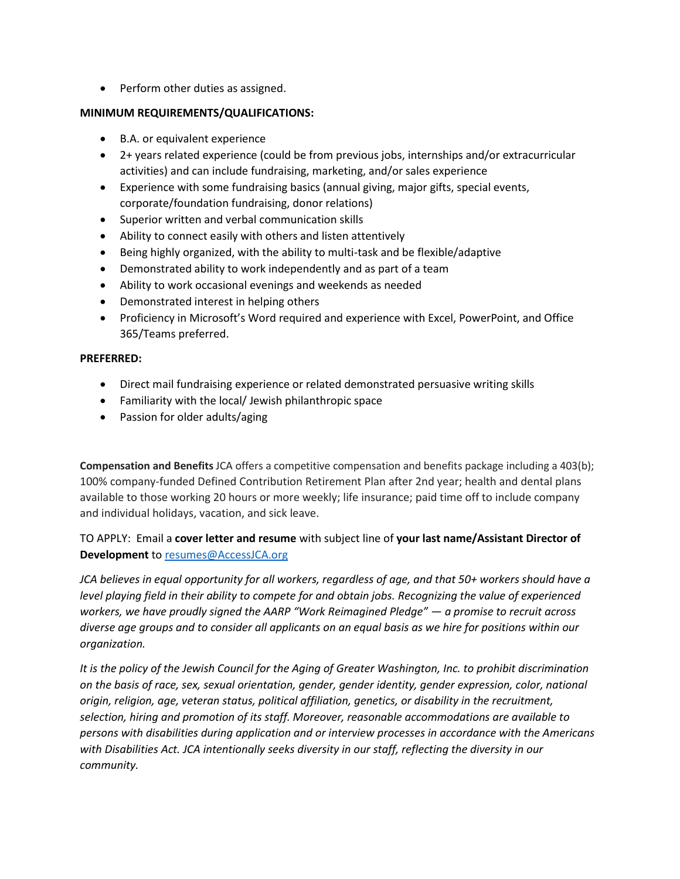• Perform other duties as assigned.

### **MINIMUM REQUIREMENTS/QUALIFICATIONS:**

- B.A. or equivalent experience
- 2+ years related experience (could be from previous jobs, internships and/or extracurricular activities) and can include fundraising, marketing, and/or sales experience
- Experience with some fundraising basics (annual giving, major gifts, special events, corporate/foundation fundraising, donor relations)
- Superior written and verbal communication skills
- Ability to connect easily with others and listen attentively
- Being highly organized, with the ability to multi-task and be flexible/adaptive
- Demonstrated ability to work independently and as part of a team
- Ability to work occasional evenings and weekends as needed
- Demonstrated interest in helping others
- Proficiency in Microsoft's Word required and experience with Excel, PowerPoint, and Office 365/Teams preferred.

### **PREFERRED:**

- Direct mail fundraising experience or related demonstrated persuasive writing skills
- Familiarity with the local/ Jewish philanthropic space
- Passion for older adults/aging

**Compensation and Benefits** JCA offers a competitive compensation and benefits package including a 403(b); 100% company-funded Defined Contribution Retirement Plan after 2nd year; health and dental plans available to those working 20 hours or more weekly; life insurance; paid time off to include company and individual holidays, vacation, and sick leave.

# TO APPLY: Email a **cover letter and resume** with subject line of **your last name/Assistant Director of Development** to [resumes@AccessJCA.org](mailto:resumes@AccessJCA.org)

*JCA believes in equal opportunity for all workers, regardless of age, and that 50+ workers should have a level playing field in their ability to compete for and obtain jobs. Recognizing the value of experienced workers, we have proudly signed the AARP "Work Reimagined Pledge" — a promise to recruit across diverse age groups and to consider all applicants on an equal basis as we hire for positions within our organization.*

*It is the policy of the Jewish Council for the Aging of Greater Washington, Inc. to prohibit discrimination on the basis of race, sex, sexual orientation, gender, gender identity, gender expression, color, national origin, religion, age, veteran status, political affiliation, genetics, or disability in the recruitment, selection, hiring and promotion of its staff. Moreover, reasonable accommodations are available to persons with disabilities during application and or interview processes in accordance with the Americans with Disabilities Act. JCA intentionally seeks diversity in our staff, reflecting the diversity in our community.*